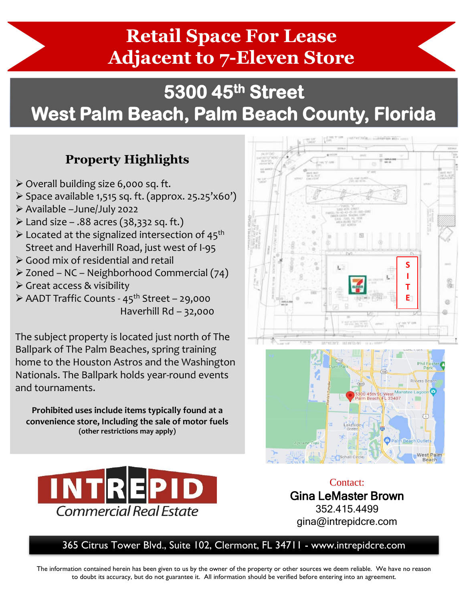## **Retail Space For Lease Adjacent to 7-Eleven Store**

## **5300 45th Street West Palm Beach, Palm Beach County, Florida**

## **Property Highlights**

- ➢ Overall building size 6,000 sq. ft.
- ➢ Space available 1,515 sq. ft. (approx. 25.25'x60')
- ➢ Available –June/July 2022
- $\ge$  Land size .88 acres (38,332 sq. ft.)
- $\triangleright$  Located at the signalized intersection of 45<sup>th</sup> Street and Haverhill Road, just west of I-95
- ➢ Good mix of residential and retail
- ➢ Zoned NC Neighborhood Commercial (74)
- ➢ Great access & visibility

➢ AADT Traffic Counts - 45th Street – 29,000 Haverhill Rd – 32,000

The subject property is located just north of The Ballpark of The Palm Beaches, spring training home to the Houston Astros and the Washington Nationals. The Ballpark holds year-round events and tournaments.

**Prohibited uses include items typically found at a convenience store, Including the sale of motor fuels (other restrictions may apply)**







Contact: Gina LeMaster Brown 352.415.4499 gina@intrepidcre.com

365 Citrus Tower Blvd., Suite 102, Clermont, FL 34711 - www.intrepidcre.com

The information contained herein has been given to us by the owner of the property or other sources we deem reliable. We have no reason to doubt its accuracy, but do not guarantee it. All information should be verified before entering into an agreement.